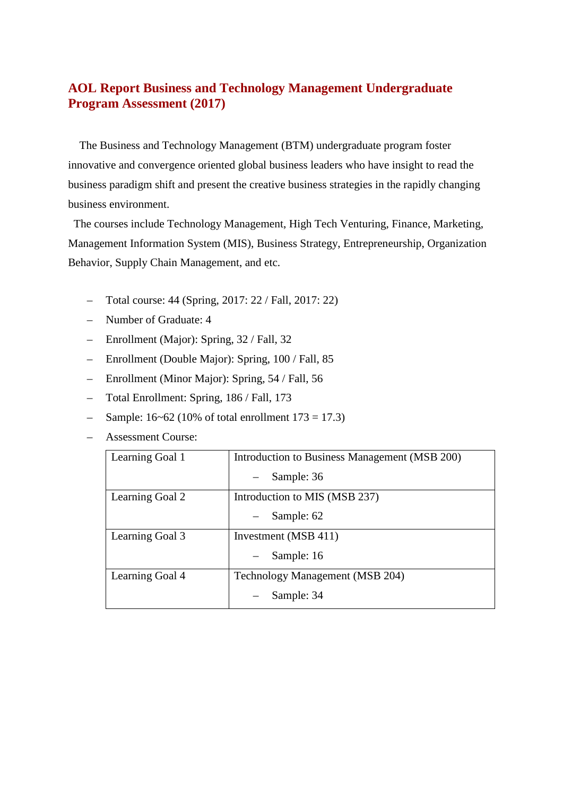# **AOL Report Business and Technology Management Undergraduate Program Assessment (2017)**

The Business and Technology Management (BTM) undergraduate program foster innovative and convergence oriented global business leaders who have insight to read the business paradigm shift and present the creative business strategies in the rapidly changing business environment.

The courses include Technology Management, High Tech Venturing, Finance, Marketing, Management Information System (MIS), Business Strategy, Entrepreneurship, Organization Behavior, Supply Chain Management, and etc.

- Total course: 44 (Spring, 2017: 22 / Fall, 2017: 22)
- Number of Graduate: 4
- Enrollment (Major): Spring, 32 / Fall, 32
- Enrollment (Double Major): Spring, 100 / Fall, 85
- Enrollment (Minor Major): Spring, 54 / Fall, 56
- Total Enrollment: Spring, 186 / Fall, 173
- $-$  Sample: 16~62 (10% of total enrollment 173 = 17.3)
- Assessment Course:

| Learning Goal 1 | Introduction to Business Management (MSB 200) |
|-----------------|-----------------------------------------------|
|                 | Sample: 36                                    |
| Learning Goal 2 | Introduction to MIS (MSB 237)                 |
|                 | Sample: 62                                    |
| Learning Goal 3 | Investment (MSB 411)                          |
|                 | Sample: 16                                    |
| Learning Goal 4 | Technology Management (MSB 204)               |
|                 | Sample: 34                                    |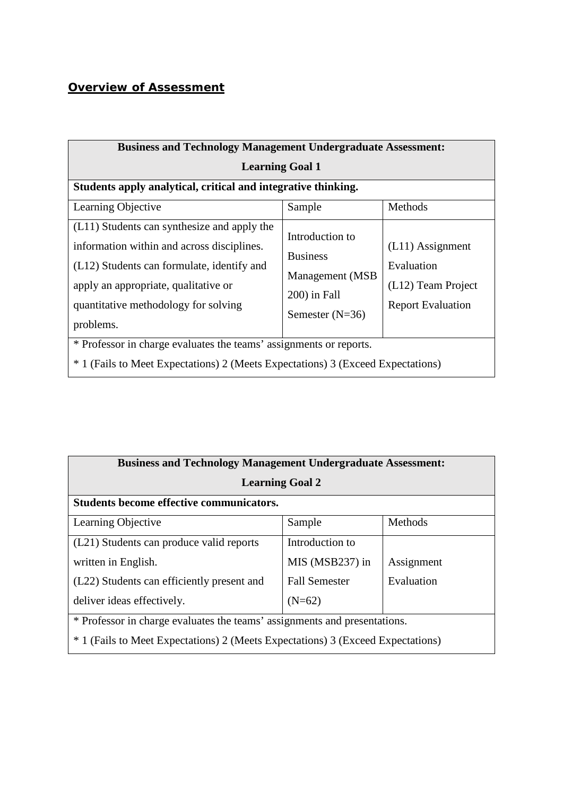# *Overview of Assessment*

| <b>Business and Technology Management Undergraduate Assessment:</b>                                                                                                                                                                  |                                                                                             |                                                                                    |  |  |  |  |  |  |
|--------------------------------------------------------------------------------------------------------------------------------------------------------------------------------------------------------------------------------------|---------------------------------------------------------------------------------------------|------------------------------------------------------------------------------------|--|--|--|--|--|--|
| <b>Learning Goal 1</b>                                                                                                                                                                                                               |                                                                                             |                                                                                    |  |  |  |  |  |  |
| Students apply analytical, critical and integrative thinking.                                                                                                                                                                        |                                                                                             |                                                                                    |  |  |  |  |  |  |
| Learning Objective                                                                                                                                                                                                                   | Sample                                                                                      | Methods                                                                            |  |  |  |  |  |  |
| (L11) Students can synthesize and apply the<br>information within and across disciplines.<br>(L12) Students can formulate, identify and<br>apply an appropriate, qualitative or<br>quantitative methodology for solving<br>problems. | Introduction to<br><b>Business</b><br>Management (MSB)<br>200) in Fall<br>Semester $(N=36)$ | $(L11)$ Assignment<br>Evaluation<br>(L12) Team Project<br><b>Report Evaluation</b> |  |  |  |  |  |  |
| * Professor in charge evaluates the teams' assignments or reports.<br><sup>*</sup> 1 (Fails to Meet Expectations) 2 (Meets Expectations) 3 (Exceed Expectations)                                                                     |                                                                                             |                                                                                    |  |  |  |  |  |  |

| <b>Business and Technology Management Undergraduate Assessment:</b>             |                      |            |  |  |  |  |  |  |  |
|---------------------------------------------------------------------------------|----------------------|------------|--|--|--|--|--|--|--|
| <b>Learning Goal 2</b>                                                          |                      |            |  |  |  |  |  |  |  |
| <b>Students become effective communicators.</b>                                 |                      |            |  |  |  |  |  |  |  |
| Learning Objective                                                              | Sample               | Methods    |  |  |  |  |  |  |  |
| (L21) Students can produce valid reports                                        | Introduction to      |            |  |  |  |  |  |  |  |
| written in English.                                                             | MIS (MSB237) in      | Assignment |  |  |  |  |  |  |  |
| (L22) Students can efficiently present and                                      | <b>Fall Semester</b> | Evaluation |  |  |  |  |  |  |  |
| deliver ideas effectively.                                                      | $(N=62)$             |            |  |  |  |  |  |  |  |
| * Professor in charge evaluates the teams' assignments and presentations.       |                      |            |  |  |  |  |  |  |  |
| * 1 (Fails to Meet Expectations) 2 (Meets Expectations) 3 (Exceed Expectations) |                      |            |  |  |  |  |  |  |  |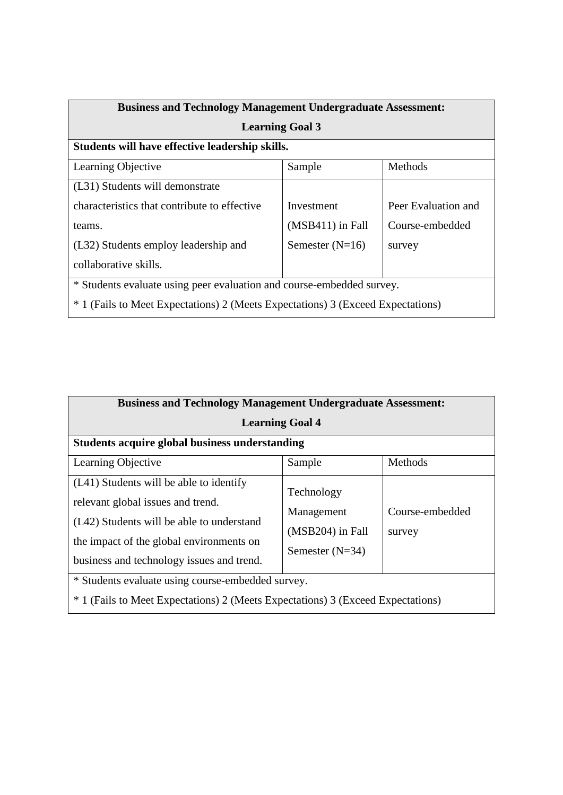| <b>Business and Technology Management Undergraduate Assessment:</b>             |                    |                     |  |  |  |  |  |  |
|---------------------------------------------------------------------------------|--------------------|---------------------|--|--|--|--|--|--|
| <b>Learning Goal 3</b>                                                          |                    |                     |  |  |  |  |  |  |
| Students will have effective leadership skills.                                 |                    |                     |  |  |  |  |  |  |
| Learning Objective                                                              | Sample             | Methods             |  |  |  |  |  |  |
| (L31) Students will demonstrate                                                 |                    |                     |  |  |  |  |  |  |
| characteristics that contribute to effective                                    | Investment         | Peer Evaluation and |  |  |  |  |  |  |
| teams.                                                                          | $(MSB411)$ in Fall | Course-embedded     |  |  |  |  |  |  |
| (L32) Students employ leadership and                                            | Semester $(N=16)$  | survey              |  |  |  |  |  |  |
| collaborative skills.                                                           |                    |                     |  |  |  |  |  |  |
| * Students evaluate using peer evaluation and course-embedded survey.           |                    |                     |  |  |  |  |  |  |
| * 1 (Fails to Meet Expectations) 2 (Meets Expectations) 3 (Exceed Expectations) |                    |                     |  |  |  |  |  |  |

| <b>Business and Technology Management Undergraduate Assessment:</b>                                                                                                                                                |                                                                     |                           |  |  |  |  |  |  |
|--------------------------------------------------------------------------------------------------------------------------------------------------------------------------------------------------------------------|---------------------------------------------------------------------|---------------------------|--|--|--|--|--|--|
| <b>Learning Goal 4</b>                                                                                                                                                                                             |                                                                     |                           |  |  |  |  |  |  |
| <b>Students acquire global business understanding</b>                                                                                                                                                              |                                                                     |                           |  |  |  |  |  |  |
| Learning Objective                                                                                                                                                                                                 | Sample                                                              | Methods                   |  |  |  |  |  |  |
| (L41) Students will be able to identify<br>relevant global issues and trend.<br>(L42) Students will be able to understand<br>the impact of the global environments on<br>business and technology issues and trend. | Technology<br>Management<br>$(MSB204)$ in Fall<br>Semester $(N=34)$ | Course-embedded<br>survey |  |  |  |  |  |  |
| * Students evaluate using course-embedded survey.<br>* 1 (Fails to Meet Expectations) 2 (Meets Expectations) 3 (Exceed Expectations)                                                                               |                                                                     |                           |  |  |  |  |  |  |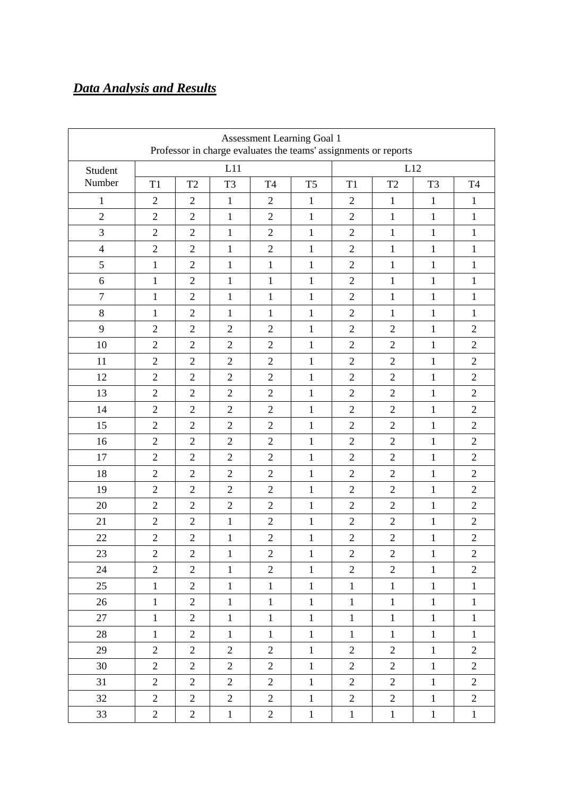# *Data Analysis and Results*

| Assessment Learning Goal 1<br>Professor in charge evaluates the teams' assignments or reports |                |                |                |                |                |                |                |                |                |
|-----------------------------------------------------------------------------------------------|----------------|----------------|----------------|----------------|----------------|----------------|----------------|----------------|----------------|
| Student                                                                                       |                |                | L11            |                | L12            |                |                |                |                |
| Number                                                                                        | T1             | T <sub>2</sub> | T <sub>3</sub> | <b>T4</b>      | T <sub>5</sub> | T1             | T <sub>2</sub> | T <sub>3</sub> | T <sub>4</sub> |
| 1                                                                                             | $\overline{2}$ | $\overline{2}$ | $\mathbf{1}$   | $\overline{2}$ | $\mathbf{1}$   | $\mathfrak{2}$ | $\mathbf{1}$   | $\mathbf{1}$   | 1              |
| $\sqrt{2}$                                                                                    | $\overline{2}$ | $\overline{2}$ | $\mathbf{1}$   | $\overline{2}$ | $\mathbf{1}$   | $\overline{2}$ | $\mathbf{1}$   | $\mathbf{1}$   | $\mathbf{1}$   |
| 3                                                                                             | $\overline{2}$ | $\overline{2}$ | $\mathbf{1}$   | $\overline{2}$ | $\mathbf{1}$   | $\overline{2}$ | $\mathbf{1}$   | $\mathbf{1}$   | $\mathbf{1}$   |
| $\overline{4}$                                                                                | $\overline{2}$ | $\overline{2}$ | $\mathbf{1}$   | $\overline{2}$ | $\mathbf{1}$   | $\overline{2}$ | $\mathbf{1}$   | $\mathbf{1}$   | $\mathbf{1}$   |
| 5                                                                                             | $\mathbf{1}$   | $\overline{2}$ | $\mathbf{1}$   | $\mathbf{1}$   | $\mathbf{1}$   | $\overline{2}$ | $\mathbf{1}$   | $\mathbf{1}$   | $\mathbf{1}$   |
| 6                                                                                             | $\mathbf{1}$   | $\overline{2}$ | $\mathbf{1}$   | $\mathbf{1}$   | $\mathbf{1}$   | $\overline{2}$ | $\mathbf{1}$   | $\mathbf{1}$   | 1              |
| $\overline{7}$                                                                                | $\mathbf{1}$   | $\overline{2}$ | $\mathbf{1}$   | $\mathbf{1}$   | $\mathbf{1}$   | $\overline{2}$ | $\mathbf{1}$   | $\mathbf{1}$   | $\mathbf{1}$   |
| 8                                                                                             | $\mathbf{1}$   | $\overline{2}$ | $\mathbf{1}$   | $\mathbf{1}$   | $\mathbf{1}$   | $\overline{2}$ | $\mathbf{1}$   | $\mathbf{1}$   | 1              |
| 9                                                                                             | $\overline{2}$ | $\overline{2}$ | $\sqrt{2}$     | $\overline{2}$ | $\mathbf{1}$   | $\overline{2}$ | $\overline{2}$ | $\mathbf{1}$   | $\overline{2}$ |
| 10                                                                                            | $\overline{2}$ | $\overline{2}$ | $\overline{2}$ | $\overline{2}$ | $\mathbf{1}$   | $\overline{2}$ | $\overline{2}$ | $\mathbf{1}$   | $\overline{2}$ |
| 11                                                                                            | $\overline{2}$ | $\overline{2}$ | $\mathfrak{2}$ | $\overline{2}$ | $\mathbf{1}$   | $\overline{2}$ | $\overline{2}$ | $\mathbf{1}$   | $\mathbf{2}$   |
| 12                                                                                            | $\overline{2}$ | $\overline{2}$ | $\overline{2}$ | $\overline{2}$ | $\mathbf{1}$   | $\overline{2}$ | $\overline{2}$ | $\mathbf{1}$   | $\overline{2}$ |
| 13                                                                                            | $\overline{2}$ | $\overline{2}$ | $\overline{2}$ | $\overline{2}$ | $\mathbf{1}$   | $\overline{2}$ | $\overline{2}$ | $\mathbf{1}$   | $\overline{2}$ |
| 14                                                                                            | $\overline{2}$ | $\overline{2}$ | $\overline{2}$ | $\overline{2}$ | $\mathbf{1}$   | $\overline{2}$ | $\overline{2}$ | $\mathbf{1}$   | $\overline{2}$ |
| 15                                                                                            | $\overline{2}$ | $\overline{2}$ | $\overline{2}$ | $\overline{2}$ | 1              | $\overline{2}$ | $\overline{2}$ | $\mathbf{1}$   | $\overline{2}$ |
| 16                                                                                            | $\overline{2}$ | $\overline{2}$ | $\overline{2}$ | $\overline{2}$ | $\mathbf{1}$   | $\overline{2}$ | $\overline{2}$ | $\mathbf{1}$   | $\overline{2}$ |
| 17                                                                                            | $\overline{2}$ | $\overline{2}$ | $\overline{2}$ | $\overline{2}$ | 1              | $\overline{2}$ | $\overline{2}$ | $\mathbf{1}$   | $\overline{2}$ |
| 18                                                                                            | $\overline{2}$ | $\overline{2}$ | $\overline{2}$ | $\overline{2}$ | $\mathbf{1}$   | $\overline{2}$ | $\overline{2}$ | $\mathbf{1}$   | $\overline{2}$ |
| 19                                                                                            | $\overline{2}$ | $\overline{2}$ | $\overline{2}$ | $\overline{2}$ | $\mathbf{1}$   | $\overline{2}$ | $\overline{2}$ | $\mathbf{1}$   | $\overline{2}$ |
| 20                                                                                            | $\overline{2}$ | $\overline{2}$ | $\overline{2}$ | $\overline{2}$ | $\mathbf{1}$   | $\overline{2}$ | $\overline{2}$ | $\mathbf{1}$   | $\overline{2}$ |
| 21                                                                                            | $\overline{2}$ | $\overline{2}$ | $\mathbf{1}$   | $\overline{2}$ | $\mathbf{1}$   | $\overline{2}$ | $\overline{2}$ | $\mathbf{1}$   | $\overline{2}$ |
| 22                                                                                            | $\overline{2}$ | $\overline{2}$ | $\mathbf{1}$   | $\overline{2}$ | $\mathbf{1}$   | $\overline{2}$ | $\overline{2}$ | $\mathbf{1}$   | $\overline{2}$ |
| 23                                                                                            | $\mathbf{2}$   | $\sqrt{2}$     | $\mathbf{1}$   | $\mathbf{2}$   | $\mathbf{1}$   | $\sqrt{2}$     | $\sqrt{2}$     | $\mathbf{1}$   | $\mathbf{2}$   |
| 24                                                                                            | $\overline{2}$ | $\overline{2}$ | $\mathbf{1}$   | $\overline{2}$ | $\mathbf{1}$   | $\overline{2}$ | $\overline{2}$ | $\mathbf{1}$   | $\overline{2}$ |
| 25                                                                                            | $\mathbf{1}$   | $\mathbf{2}$   | $\mathbf{1}$   | $\mathbf{1}$   | $\mathbf{1}$   | $\mathbf{1}$   | $\mathbf{1}$   | $\mathbf{1}$   | $\mathbf{1}$   |
| 26                                                                                            | $\mathbf{1}$   | $\mathbf{2}$   | $\mathbf{1}$   | $\mathbf 1$    | $\mathbf{1}$   | $1\,$          | $\mathbf{1}$   | $\mathbf{1}$   | $\mathbf{1}$   |
| 27                                                                                            | $\mathbf 1$    | $\mathbf{2}$   | $\mathbf{1}$   | $\mathbf{1}$   | $\mathbf{1}$   | $\mathbf{1}$   | $\mathbf{1}$   | $\mathbf{1}$   | $\mathbf{1}$   |
| 28                                                                                            | $\mathbf{1}$   | $\overline{2}$ | $\mathbf{1}$   | $\mathbf{1}$   | $\mathbf{1}$   | $\mathbf{1}$   | $\mathbf{1}$   | $\mathbf{1}$   | $\mathbf{1}$   |
| 29                                                                                            | $\overline{2}$ | $\overline{2}$ | $\overline{2}$ | $\overline{2}$ | $\mathbf{1}$   | $\mathbf{2}$   | $\overline{2}$ | $\mathbf{1}$   | $\overline{2}$ |
| 30                                                                                            | $\overline{2}$ | $\overline{2}$ | $\overline{2}$ | $\overline{2}$ | $\mathbf{1}$   | $\overline{2}$ | $\overline{2}$ | $\mathbf{1}$   | $\overline{2}$ |
| 31                                                                                            | $\overline{2}$ | $\mathbf{2}$   | $\overline{2}$ | $\overline{2}$ | $\mathbf{1}$   | $\overline{2}$ | $\overline{2}$ | $\mathbf{1}$   | $\overline{2}$ |
| 32                                                                                            | $\overline{2}$ | $\mathbf{2}$   | $\mathbf{2}$   | $\overline{2}$ | $\mathbf{1}$   | $\mathbf{2}$   | $\overline{c}$ | $\mathbf{1}$   | $\mathbf{2}$   |
| 33                                                                                            | $\overline{2}$ | $\overline{c}$ | $\mathbf{1}$   | $\overline{2}$ | $\mathbf{1}$   | $\mathbf{1}$   | $\mathbf{1}$   | $\mathbf{1}$   | $\mathbf{1}$   |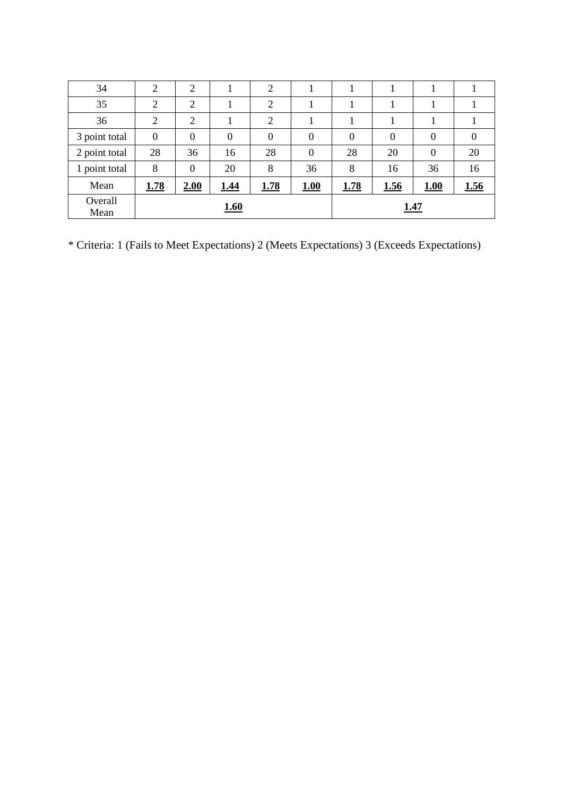| 34              | $\overline{2}$ | 2              |                  | $\overline{2}$   |                |              |                |                |                |
|-----------------|----------------|----------------|------------------|------------------|----------------|--------------|----------------|----------------|----------------|
| 35              | $\overline{2}$ | $\overline{2}$ |                  | $\overline{2}$   |                |              |                |                |                |
| 36              | $\overline{2}$ | $\overline{2}$ |                  | $\overline{2}$   |                |              |                |                |                |
| 3 point total   | $\theta$       | $\theta$       | $\boldsymbol{0}$ | $\boldsymbol{0}$ | $\overline{0}$ | $\mathbf{0}$ | $\overline{0}$ | $\overline{0}$ | $\overline{0}$ |
| 2 point total   | 28             | 36             | 16               | 28               | $\overline{0}$ | 28           | 20             | $\overline{0}$ | 20             |
| 1 point total   | 8              | $\Omega$       | 20               | 8                | 36             | 8            | 16             | 36             | 16             |
| Mean            | <u>1.78</u>    | 2.00           | <u>1.44</u>      | <u>1.78</u>      | 1.00           | <u>1.78</u>  | <u>1.56</u>    | 1.00           | <u>1.56</u>    |
| Overall<br>Mean |                |                | <b>1.60</b>      |                  |                |              | <u>1.47</u>    |                |                |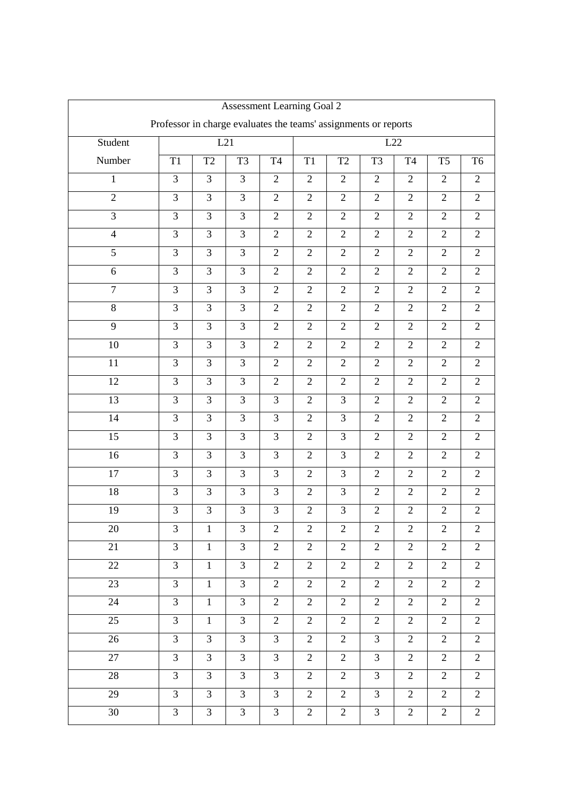| <b>Assessment Learning Goal 2</b> |                                                                 |                |                |                |                |                |                |                |                |                |
|-----------------------------------|-----------------------------------------------------------------|----------------|----------------|----------------|----------------|----------------|----------------|----------------|----------------|----------------|
|                                   | Professor in charge evaluates the teams' assignments or reports |                |                |                |                |                |                |                |                |                |
| Student                           |                                                                 | L21            |                |                | L22            |                |                |                |                |                |
| Number                            | T1                                                              | T <sub>2</sub> | T <sub>3</sub> | T <sub>4</sub> | T1             | T <sub>2</sub> | T <sub>3</sub> | T <sub>4</sub> | T <sub>5</sub> | T <sub>6</sub> |
| 1                                 | 3                                                               | 3              | 3              | $\overline{2}$ | $\mathbf{2}$   | $\overline{2}$ | $\overline{2}$ | $\mathbf{2}$   | $\overline{2}$ | $\overline{2}$ |
| $\mathfrak{2}$                    | 3                                                               | 3              | 3              | $\overline{2}$ | $\sqrt{2}$     | $\sqrt{2}$     | $\mathbf{2}$   | $\mathfrak{2}$ | $\mathbf{2}$   | $\mathfrak{2}$ |
| $\overline{3}$                    | 3                                                               | $\overline{3}$ | 3              | $\overline{2}$ | $\mathbf{2}$   | $\overline{2}$ | $\overline{2}$ | $\overline{2}$ | $\overline{2}$ | $\overline{2}$ |
| $\overline{4}$                    | 3                                                               | 3              | 3              | $\overline{2}$ | $\overline{2}$ | $\overline{2}$ | $\overline{2}$ | $\overline{2}$ | $\overline{2}$ | $\overline{2}$ |
| 5                                 | 3                                                               | 3              | 3              | $\overline{2}$ | $\overline{2}$ | $\overline{2}$ | $\overline{2}$ | $\mathfrak{2}$ | $\mathbf{2}$   | $\overline{2}$ |
| 6                                 | 3                                                               | 3              | 3              | $\mathbf{2}$   | $\mathbf{2}$   | $\sqrt{2}$     | $\overline{2}$ | $\sqrt{2}$     | $\overline{2}$ | $\overline{2}$ |
| $\overline{7}$                    | 3                                                               | 3              | 3              | $\overline{2}$ | $\overline{2}$ | $\overline{2}$ | $\overline{2}$ | $\overline{2}$ | $\overline{2}$ | $\overline{2}$ |
| 8                                 | 3                                                               | 3              | 3              | $\overline{2}$ | $\overline{2}$ | $\overline{2}$ | $\overline{2}$ | $\overline{2}$ | $\overline{2}$ | $\overline{2}$ |
| 9                                 | 3                                                               | $\overline{3}$ | 3              | $\overline{2}$ | $\overline{2}$ | $\overline{2}$ | $\overline{2}$ | $\mathfrak{2}$ | $\overline{2}$ | $\overline{2}$ |
| 10                                | 3                                                               | 3              | 3              | $\mathbf{2}$   | $\mathbf{2}$   | $\overline{2}$ | $\overline{2}$ | $\overline{2}$ | $\overline{2}$ | $\overline{2}$ |
| 11                                | 3                                                               | $\overline{3}$ | 3              | $\overline{2}$ | $\overline{2}$ | $\overline{2}$ | $\overline{2}$ | $\overline{2}$ | $\overline{2}$ | $\overline{2}$ |
| 12                                | 3                                                               | 3              | 3              | $\overline{2}$ | $\overline{2}$ | $\overline{2}$ | $\overline{2}$ | $\overline{2}$ | $\overline{2}$ | $\overline{2}$ |
| 13                                | 3                                                               | 3              | 3              | 3              | $\mathfrak{2}$ | 3              | $\overline{2}$ | $\mathfrak{2}$ | $\overline{2}$ | $\overline{2}$ |
| 14                                | 3                                                               | 3              | 3              | 3              | $\mathbf{2}$   | 3              | $\overline{2}$ | $\overline{2}$ | $\overline{2}$ | $\overline{2}$ |
| 15                                | 3                                                               | $\overline{3}$ | 3              | 3              | $\overline{2}$ | 3              | $\overline{2}$ | $\overline{2}$ | $\overline{2}$ | $\overline{2}$ |
| 16                                | 3                                                               | 3              | 3              | 3              | $\overline{2}$ | 3              | $\overline{2}$ | $\overline{2}$ | $\overline{2}$ | $\overline{2}$ |
| 17                                | 3                                                               | $\overline{3}$ | 3              | 3              | $\mathfrak{2}$ | 3              | $\overline{2}$ | $\mathfrak{2}$ | $\overline{2}$ | $\overline{2}$ |
| 18                                | 3                                                               | 3              | 3              | 3              | $\overline{2}$ | 3              | $\overline{2}$ | $\mathbf{2}$   | $\overline{2}$ | $\overline{2}$ |
| 19                                | 3                                                               | 3              | 3              | 3              | $\overline{2}$ | 3              | $\overline{2}$ | $\overline{2}$ | $\overline{2}$ | $\overline{2}$ |
| 20                                | 3                                                               | $\mathbf{1}$   | 3              | $\overline{2}$ | $\overline{2}$ | $\overline{2}$ | $\overline{2}$ | $\overline{2}$ | $\overline{2}$ | $\mathfrak{2}$ |
| 21                                | $\overline{3}$                                                  | $\mathbf{1}$   | $\overline{3}$ | $\overline{2}$ | $\overline{2}$ | $\overline{2}$ | $\overline{2}$ | $\overline{2}$ | $\overline{2}$ | $\overline{2}$ |
| 22                                | $\overline{3}$                                                  | $\mathbf{1}$   | $\overline{3}$ | $\overline{2}$ | $\overline{2}$ | $\overline{2}$ | $\overline{2}$ | $\overline{2}$ | $\overline{2}$ | $\overline{2}$ |
| 23                                | $\overline{3}$                                                  | $\mathbf{1}$   | $\overline{3}$ | $\overline{2}$ | $\overline{2}$ | $\overline{2}$ | $\overline{2}$ | $\overline{2}$ | $\overline{2}$ | $\overline{2}$ |
| 24                                | $\overline{3}$                                                  | $\mathbf{1}$   | $\overline{3}$ | $\overline{2}$ | $\overline{2}$ | $\overline{2}$ | $\overline{2}$ | $\overline{2}$ | $\overline{2}$ | $\overline{2}$ |
| 25                                | $\overline{3}$                                                  | $\mathbf{1}$   | $\overline{3}$ | $\overline{2}$ | $\overline{2}$ | $\overline{2}$ | $\overline{2}$ | $\overline{2}$ | $\overline{2}$ | $\overline{2}$ |
| 26                                | $\overline{3}$                                                  | $\overline{3}$ | $\overline{3}$ | $\overline{3}$ | $\overline{2}$ | $\overline{2}$ | $\overline{3}$ | $\overline{2}$ | $\overline{2}$ | $\overline{2}$ |
| $\overline{27}$                   | $\overline{3}$                                                  | $\overline{3}$ | $\overline{3}$ | $\overline{3}$ | $\overline{2}$ | $\overline{2}$ | $\overline{3}$ | $\overline{2}$ | $\overline{2}$ | $\overline{2}$ |
| 28                                | $\overline{3}$                                                  | $\overline{3}$ | $\overline{3}$ | $\overline{3}$ | $\overline{2}$ | $\overline{2}$ | $\overline{3}$ | $\overline{2}$ | $\overline{2}$ | $\overline{2}$ |
| 29                                | $\overline{3}$                                                  | $\overline{3}$ | $\overline{3}$ | $\overline{3}$ | $\overline{2}$ | $\overline{2}$ | $\overline{3}$ | $\overline{2}$ | $\overline{2}$ | $\overline{2}$ |
| 30                                | $\overline{3}$                                                  | $\overline{3}$ | $\overline{3}$ | 3              | $\overline{2}$ | $\overline{2}$ | $\overline{3}$ | $\overline{2}$ | $\overline{2}$ | $\overline{2}$ |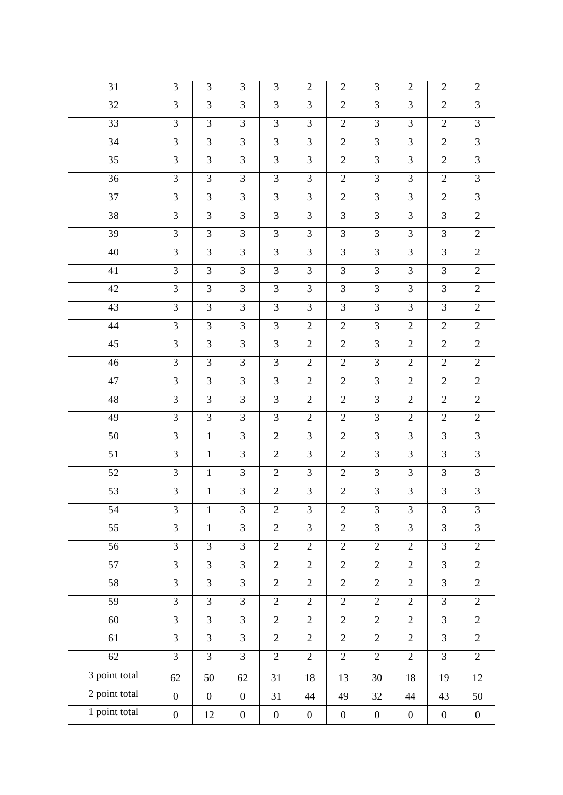| 31              | 3                | 3                | 3                | 3                | $\overline{2}$   | $\overline{2}$   | 3                | $\overline{2}$   | $\overline{2}$   | $\overline{2}$   |
|-----------------|------------------|------------------|------------------|------------------|------------------|------------------|------------------|------------------|------------------|------------------|
| 32              | $\overline{3}$   | $\overline{3}$   | $\overline{3}$   | $\overline{3}$   | $\overline{3}$   | $\overline{2}$   | 3                | 3                | $\overline{2}$   | $\overline{3}$   |
| 33              | 3                | 3                | $\overline{3}$   | 3                | 3                | $\overline{2}$   | 3                | 3                | $\overline{2}$   | 3                |
| 34              | 3                | 3                | 3                | 3                | 3                | $\overline{2}$   | 3                | 3                | $\overline{2}$   | 3                |
| 35              | 3                | $\overline{3}$   | 3                | 3                | 3                | $\overline{2}$   | 3                | 3                | $\overline{2}$   | 3                |
| 36              | 3                | $\overline{3}$   | $\overline{3}$   | $\overline{3}$   | 3                | $\overline{2}$   | 3                | 3                | $\overline{2}$   | $\overline{3}$   |
| 37              | 3                | $\overline{3}$   | $\overline{3}$   | 3                | 3                | $\overline{2}$   | 3                | 3                | $\overline{2}$   | $\overline{3}$   |
| 38              | $\overline{3}$   | $\overline{3}$   | $\overline{3}$   | $\overline{3}$   | $\overline{3}$   | $\overline{3}$   | $\overline{3}$   | $\overline{3}$   | $\overline{3}$   | $\overline{2}$   |
| 39              | 3                | $\overline{3}$   | $\overline{3}$   | 3                | 3                | 3                | 3                | 3                | 3                | $\mathfrak{2}$   |
| 40              | $\overline{3}$   | $\overline{3}$   | $\overline{3}$   | $\overline{3}$   | 3                | 3                | 3                | 3                | $\overline{3}$   | $\overline{2}$   |
| 41              | 3                | $\overline{3}$   | $\overline{3}$   | $\overline{3}$   | 3                | 3                | 3                | 3                | 3                | $\overline{2}$   |
| 42              | 3                | $\overline{3}$   | $\overline{3}$   | $\overline{3}$   | 3                | 3                | 3                | $\overline{3}$   | 3                | $\mathbf{2}$     |
| 43              | 3                | $\overline{3}$   | $\overline{3}$   | 3                | 3                | 3                | 3                | 3                | 3                | $\mathbf{2}$     |
| 44              | 3                | $\overline{3}$   | $\overline{3}$   | $\overline{3}$   | $\overline{2}$   | $\overline{2}$   | 3                | $\overline{2}$   | $\overline{2}$   | $\overline{2}$   |
| 45              | 3                | $\overline{3}$   | 3                | 3                | $\overline{2}$   | $\overline{2}$   | 3                | $\overline{2}$   | $\overline{2}$   | $\overline{2}$   |
| 46              | $\overline{3}$   | $\overline{3}$   | $\overline{3}$   | $\overline{3}$   | $\overline{2}$   | $\sqrt{2}$       | $\overline{3}$   | $\overline{2}$   | $\overline{2}$   | $\overline{2}$   |
| 47              | 3                | $\overline{3}$   | 3                | 3                | $\overline{2}$   | $\overline{2}$   | 3                | $\mathfrak{2}$   | $\overline{2}$   | $\mathbf{2}$     |
| 48              | $\overline{3}$   | $\overline{3}$   | $\overline{3}$   | $\overline{3}$   | $\overline{2}$   | $\overline{2}$   | 3                | $\overline{2}$   | $\overline{2}$   | $\overline{2}$   |
| $\overline{49}$ | 3                | $\overline{3}$   | $\overline{3}$   | $\overline{3}$   | $\overline{2}$   | $\overline{2}$   | 3                | $\overline{2}$   | $\overline{2}$   | $\overline{2}$   |
| 50              | 3                | $\mathbf{1}$     | $\overline{3}$   | $\overline{2}$   | 3                | $\overline{2}$   | 3                | 3                | 3                | $\mathfrak{Z}$   |
| 51              | 3                | $\mathbf{1}$     | 3                | 2                | 3                | $\overline{2}$   | 3                | 3                | 3                | 3                |
| $\overline{52}$ | 3                | $\mathbf{1}$     | $\overline{3}$   | $\overline{2}$   | 3                | $\overline{2}$   | 3                | 3                | 3                | $\overline{3}$   |
| 53              | 3                | $\mathbf{1}$     | 3                | $\overline{2}$   | 3                | $\overline{2}$   | 3                | 3                | 3                | 3                |
| 54              | 3                | $\mathbf{1}$     | 3                | $\mathbf{2}$     | 3                | $\overline{2}$   | 3                | $\mathfrak{Z}$   | 3                | $\mathfrak{Z}$   |
| 55              | 3                | $\mathbf{1}$     | 3                | $\overline{2}$   | 3                | $\sqrt{2}$       | 3                | 3                | 3                | 3                |
| 56              | $\overline{3}$   | $\overline{3}$   | $\overline{3}$   | $\overline{2}$   | $\overline{2}$   | $\overline{2}$   | $\overline{2}$   | $\overline{2}$   | 3                | $\overline{2}$   |
| 57              | $\overline{3}$   | $\overline{3}$   | 3                | $\overline{2}$   | $\overline{2}$   | $\overline{2}$   | $\overline{2}$   | $\overline{2}$   | 3                | $\overline{2}$   |
| 58              | $\overline{3}$   | $\overline{3}$   | $\overline{3}$   | $\overline{2}$   | $\sqrt{2}$       | $\sqrt{2}$       | $\overline{2}$   | $\overline{2}$   | $\overline{3}$   | $\overline{2}$   |
| 59              | $\overline{3}$   | 3                | 3                | $\overline{2}$   | $\sqrt{2}$       | $\sqrt{2}$       | $\overline{2}$   | $\overline{2}$   | 3                | $\overline{2}$   |
| $\overline{60}$ | $\overline{3}$   | $\overline{3}$   | $\overline{3}$   | $\overline{2}$   | $\overline{2}$   | $\overline{2}$   | $\overline{2}$   | $\overline{2}$   | $\overline{3}$   | $\overline{2}$   |
| $\overline{61}$ | $\overline{3}$   | $\overline{3}$   | $\overline{3}$   | $\overline{2}$   | $\overline{2}$   | $\overline{2}$   | $\overline{2}$   | $\overline{2}$   | $\overline{3}$   | $\overline{2}$   |
| 62              | $\overline{3}$   | $\overline{3}$   | $\overline{3}$   | $\overline{2}$   | $\sqrt{2}$       | $\overline{2}$   | $\overline{2}$   | $\overline{2}$   | 3                | $\overline{2}$   |
| 3 point total   | 62               | 50               | 62               | 31               | 18               | 13               | 30               | 18               | 19               | 12               |
| 2 point total   | $\boldsymbol{0}$ | $\boldsymbol{0}$ | $\boldsymbol{0}$ | 31               | 44               | 49               | 32               | 44               | 43               | 50               |
| 1 point total   | $\boldsymbol{0}$ | 12               | $\boldsymbol{0}$ | $\boldsymbol{0}$ | $\boldsymbol{0}$ | $\boldsymbol{0}$ | $\boldsymbol{0}$ | $\boldsymbol{0}$ | $\boldsymbol{0}$ | $\boldsymbol{0}$ |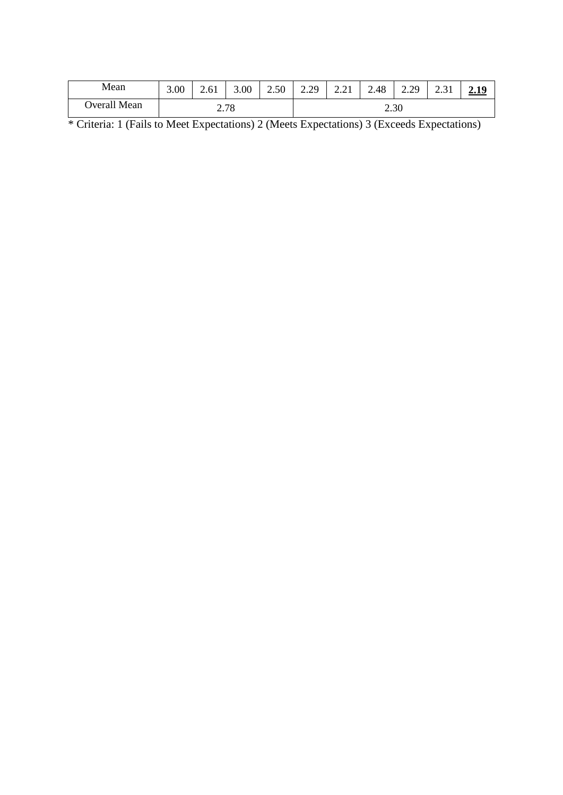| Mean         | 3.00 | 2.61 | 3.00 | 2.50 | 2.29 | 221<br>4.41 | 2.48 | 2.29 | 2.31 | <u>2.19</u> |
|--------------|------|------|------|------|------|-------------|------|------|------|-------------|
| Overall Mean |      |      | 2.78 |      |      |             | 2.30 |      |      |             |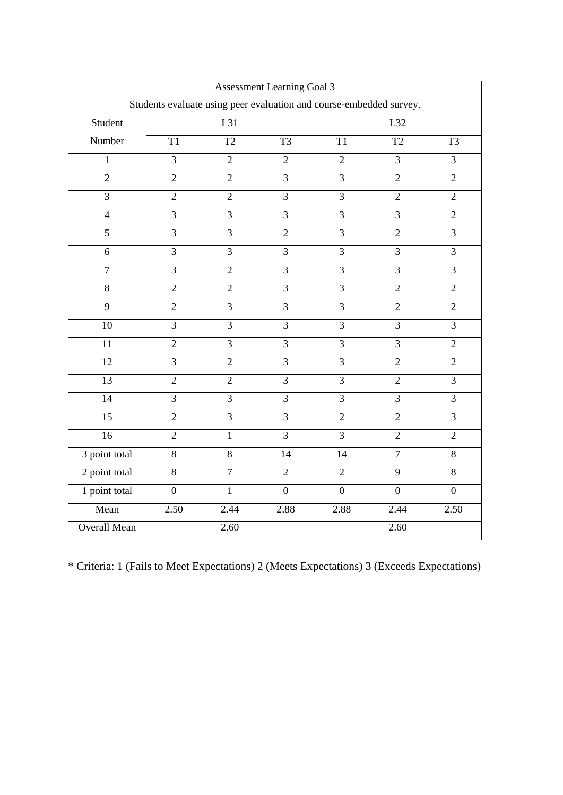| Assessment Learning Goal 3                                          |                |                 |                 |                |                 |                 |  |  |  |
|---------------------------------------------------------------------|----------------|-----------------|-----------------|----------------|-----------------|-----------------|--|--|--|
| Students evaluate using peer evaluation and course-embedded survey. |                |                 |                 |                |                 |                 |  |  |  |
| Student                                                             |                | L31             |                 |                | L32             |                 |  |  |  |
| Number                                                              | T1             | $\overline{T2}$ | $\overline{T3}$ | T <sub>1</sub> | $\overline{T2}$ | $\overline{T3}$ |  |  |  |
| $\overline{1}$                                                      | $\overline{3}$ | $\overline{2}$  | $\overline{2}$  | $\overline{2}$ | $\overline{3}$  | $\overline{3}$  |  |  |  |
| $\overline{2}$                                                      | $\overline{2}$ | $\overline{2}$  | $\overline{3}$  | $\overline{3}$ | $\overline{2}$  | $\overline{2}$  |  |  |  |
| $\overline{3}$                                                      | $\overline{2}$ | $\overline{2}$  | $\overline{3}$  | $\overline{3}$ | $\overline{2}$  | $\overline{2}$  |  |  |  |
| $\overline{4}$                                                      | $\overline{3}$ | $\overline{3}$  | $\overline{3}$  | $\overline{3}$ | $\overline{3}$  | $\overline{2}$  |  |  |  |
| $\overline{5}$                                                      | $\overline{3}$ | $\overline{3}$  | $\overline{2}$  | $\overline{3}$ | $\overline{2}$  | $\overline{3}$  |  |  |  |
| $\overline{6}$                                                      | $\overline{3}$ | $\overline{3}$  | $\overline{3}$  | $\overline{3}$ | $\overline{3}$  | $\overline{3}$  |  |  |  |
| $\overline{7}$                                                      | $\overline{3}$ | $\overline{2}$  | $\overline{3}$  | $\overline{3}$ | $\overline{3}$  | $\overline{3}$  |  |  |  |
| $\overline{8}$                                                      | $\overline{2}$ | $\overline{2}$  | $\overline{3}$  | $\overline{3}$ | $\overline{2}$  | $\overline{2}$  |  |  |  |
| $\overline{9}$                                                      | $\overline{2}$ | $\overline{3}$  | $\overline{3}$  | $\overline{3}$ | $\overline{2}$  | $\overline{2}$  |  |  |  |
| 10                                                                  | $\overline{3}$ | $\overline{3}$  | $\overline{3}$  | $\overline{3}$ | $\overline{3}$  | $\overline{3}$  |  |  |  |
| 11                                                                  | $\overline{2}$ | $\overline{3}$  | $\overline{3}$  | $\overline{3}$ | $\overline{3}$  | $\overline{2}$  |  |  |  |
| 12                                                                  | $\overline{3}$ | $\overline{2}$  | $\overline{3}$  | $\overline{3}$ | $\overline{2}$  | $\overline{2}$  |  |  |  |
| 13                                                                  | $\overline{2}$ | $\overline{2}$  | $\overline{3}$  | $\overline{3}$ | $\overline{2}$  | $\overline{3}$  |  |  |  |
| $\overline{14}$                                                     | $\overline{3}$ | $\overline{3}$  | $\overline{3}$  | $\overline{3}$ | $\overline{3}$  | $\overline{3}$  |  |  |  |
| $\overline{15}$                                                     | $\overline{2}$ | $\overline{3}$  | $\overline{3}$  | $\overline{2}$ | $\overline{2}$  | $\overline{3}$  |  |  |  |
| 16                                                                  | $\overline{2}$ | $\overline{1}$  | $\overline{3}$  | $\overline{3}$ | $\overline{2}$  | $\overline{2}$  |  |  |  |
| 3 point total                                                       | $\overline{8}$ | $\overline{8}$  | 14              | 14             | $\overline{7}$  | $\overline{8}$  |  |  |  |
| 2 point total                                                       | $\overline{8}$ | $\overline{7}$  | $\overline{2}$  | $\overline{2}$ | $\overline{9}$  | 8               |  |  |  |
| 1 point total                                                       | $\overline{0}$ | $\mathbf{1}$    | $\overline{0}$  | $\overline{0}$ | $\overline{0}$  | $\overline{0}$  |  |  |  |
| Mean                                                                | 2.50           | 2.44            | 2.88            | 2.88           | 2.44            | 2.50            |  |  |  |
| <b>Overall Mean</b>                                                 |                | 2.60            |                 | 2.60           |                 |                 |  |  |  |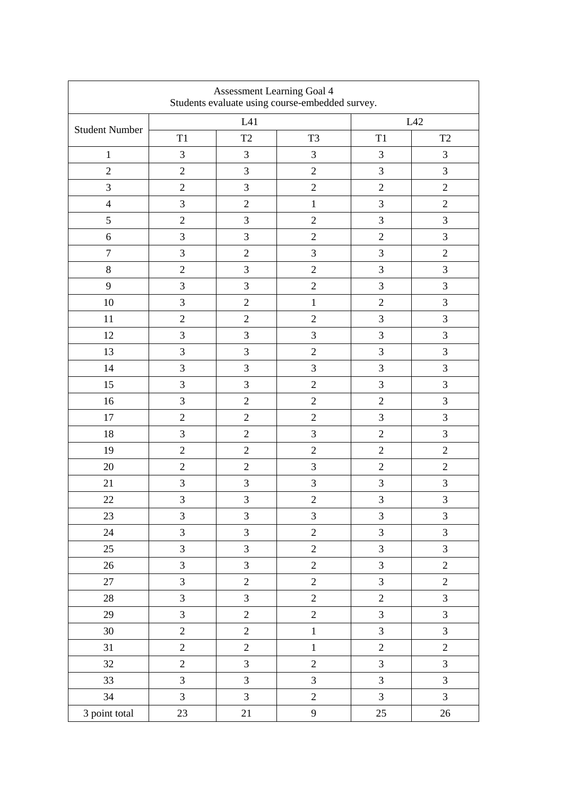| Assessment Learning Goal 4<br>Students evaluate using course-embedded survey. |                |                |                             |                |                     |  |  |  |
|-------------------------------------------------------------------------------|----------------|----------------|-----------------------------|----------------|---------------------|--|--|--|
| <b>Student Number</b>                                                         |                | L41            |                             |                | L42                 |  |  |  |
|                                                                               | T1             | T <sub>2</sub> | T <sub>3</sub>              | $\mathbf{T}1$  | $\operatorname{T2}$ |  |  |  |
| $\mathbf{1}$                                                                  | 3              | $\mathfrak{Z}$ | 3                           | 3              | $\overline{3}$      |  |  |  |
| $\overline{2}$                                                                | $\overline{2}$ | $\mathfrak{Z}$ | $\sqrt{2}$                  | 3              | 3                   |  |  |  |
| 3                                                                             | $\mathbf{2}$   | $\mathfrak{Z}$ | $\sqrt{2}$                  | $\overline{2}$ | $\mathbf{2}$        |  |  |  |
| $\overline{4}$                                                                | $\mathfrak{Z}$ | $\mathbf{2}$   | $\mathbf{1}$                | 3              | $\mathbf{2}$        |  |  |  |
| 5                                                                             | $\overline{2}$ | 3              | $\overline{2}$              | $\overline{3}$ | 3                   |  |  |  |
| 6                                                                             | 3              | $\mathfrak{Z}$ | $\overline{2}$              | $\overline{2}$ | 3                   |  |  |  |
| $\tau$                                                                        | 3              | $\overline{2}$ | 3                           | 3              | $\overline{2}$      |  |  |  |
| $8\,$                                                                         | $\overline{2}$ | $\mathfrak{Z}$ | $\overline{2}$              | 3              | 3                   |  |  |  |
| 9                                                                             | 3              | $\mathfrak{Z}$ | $\overline{2}$              | 3              | 3                   |  |  |  |
| 10                                                                            | 3              | $\sqrt{2}$     | $\mathbf{1}$                | $\overline{2}$ | $\overline{3}$      |  |  |  |
| 11                                                                            | $\overline{2}$ | $\sqrt{2}$     | $\overline{2}$              | 3              | 3                   |  |  |  |
| 12                                                                            | $\mathfrak{Z}$ | $\mathfrak{Z}$ | $\mathfrak{Z}$              | 3              | $\mathfrak{Z}$      |  |  |  |
| 13                                                                            | $\mathfrak{Z}$ | $\mathfrak{Z}$ | $\sqrt{2}$                  | 3              | 3                   |  |  |  |
| 14                                                                            | $\mathfrak{Z}$ | 3              | 3                           | 3              | 3                   |  |  |  |
| 15                                                                            | $\mathfrak{Z}$ | $\mathfrak{Z}$ | $\overline{2}$              | 3              | $\mathfrak{Z}$      |  |  |  |
| 16                                                                            | 3              | $\overline{2}$ | $\overline{2}$              | $\overline{2}$ | 3                   |  |  |  |
| 17                                                                            | $\overline{2}$ | $\overline{2}$ | $\sqrt{2}$                  | 3              | 3                   |  |  |  |
| 18                                                                            | 3              | $\overline{2}$ | 3                           | $\overline{2}$ | 3                   |  |  |  |
| 19                                                                            | $\mathbf{2}$   | $\sqrt{2}$     | $\sqrt{2}$                  | $\mathbf{2}$   | $\sqrt{2}$          |  |  |  |
| 20                                                                            | $\overline{2}$ | $\sqrt{2}$     | 3                           | $\overline{2}$ | $\overline{2}$      |  |  |  |
| 21                                                                            | 3              | $\mathfrak 3$  | $\ensuremath{\mathfrak{Z}}$ | $\mathfrak{Z}$ | 3                   |  |  |  |
| 22                                                                            | 3              | 3              | $\overline{c}$              | 3              | 3                   |  |  |  |
| 23                                                                            | 3              | 3              | $\mathfrak{Z}$              | $\mathfrak{Z}$ | $\mathfrak{Z}$      |  |  |  |
| 24                                                                            | $\overline{3}$ | $\mathfrak{Z}$ | $\overline{c}$              | $\overline{3}$ | $\overline{3}$      |  |  |  |
| 25                                                                            | $\overline{3}$ | $\mathfrak{Z}$ | $\overline{2}$              | $\overline{3}$ | 3                   |  |  |  |
| $26\,$                                                                        | 3              | $\overline{3}$ | $\overline{2}$              | $\overline{3}$ | $\overline{c}$      |  |  |  |
| 27                                                                            | $\mathfrak{Z}$ | $\sqrt{2}$     | $\overline{2}$              | $\overline{3}$ | $\sqrt{2}$          |  |  |  |
| $28\,$                                                                        | $\overline{3}$ | $\mathfrak{Z}$ | $\overline{c}$              | $\overline{c}$ | 3                   |  |  |  |
| 29                                                                            | $\overline{3}$ | $\sqrt{2}$     | $\overline{c}$              | 3              | $\overline{3}$      |  |  |  |
| 30                                                                            | $\overline{2}$ | $\overline{c}$ | $\,1\,$                     | 3              | $\overline{3}$      |  |  |  |
| 31                                                                            | $\overline{2}$ | $\overline{2}$ | $\mathbf{1}$                | $\overline{2}$ | $\overline{2}$      |  |  |  |
| 32                                                                            | $\overline{2}$ | $\mathfrak{Z}$ | $\overline{2}$              | 3              | 3                   |  |  |  |
| 33                                                                            | $\mathfrak{Z}$ | $\mathfrak{Z}$ | 3                           | $\overline{3}$ | $\mathfrak{Z}$      |  |  |  |
| 34                                                                            | $\mathfrak{Z}$ | $\mathfrak{Z}$ | $\overline{c}$              | $\mathfrak{Z}$ | $\mathfrak{Z}$      |  |  |  |
| 3 point total                                                                 | 23             | 21             | $\mathbf{9}$                | 25             | 26                  |  |  |  |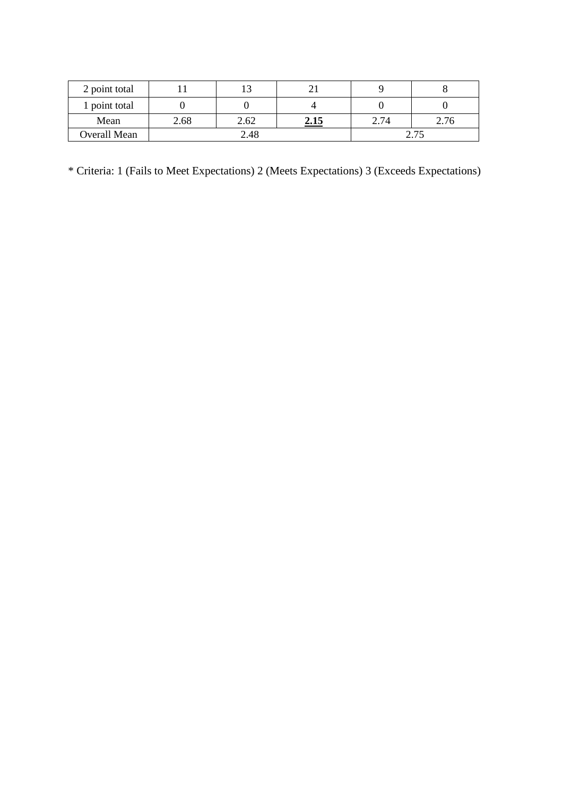| 2 point total       |      |      |      |                |      |
|---------------------|------|------|------|----------------|------|
| 1 point total       |      |      |      |                |      |
| Mean                | 2.68 | 2.62 | 2.15 | 2.74           | 2.76 |
| <b>Overall Mean</b> | 2.48 |      |      | $\Omega$ $\pi$ |      |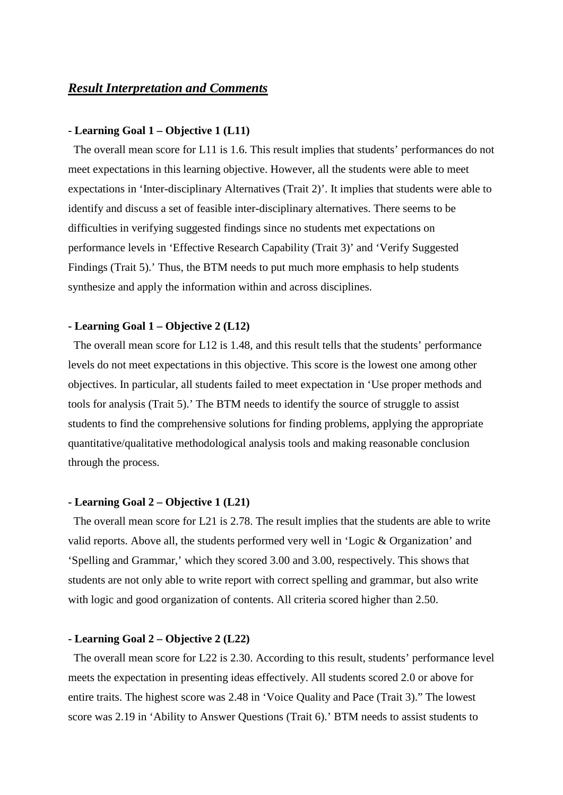### *Result Interpretation and Comments*

#### **- Learning Goal 1 – Objective 1 (L11)**

The overall mean score for L11 is 1.6. This result implies that students' performances do not meet expectations in this learning objective. However, all the students were able to meet expectations in 'Inter-disciplinary Alternatives (Trait 2)'. It implies that students were able to identify and discuss a set of feasible inter-disciplinary alternatives. There seems to be difficulties in verifying suggested findings since no students met expectations on performance levels in 'Effective Research Capability (Trait 3)' and 'Verify Suggested Findings (Trait 5).' Thus, the BTM needs to put much more emphasis to help students synthesize and apply the information within and across disciplines.

#### **- Learning Goal 1 – Objective 2 (L12)**

The overall mean score for L12 is 1.48, and this result tells that the students' performance levels do not meet expectations in this objective. This score is the lowest one among other objectives. In particular, all students failed to meet expectation in 'Use proper methods and tools for analysis (Trait 5).' The BTM needs to identify the source of struggle to assist students to find the comprehensive solutions for finding problems, applying the appropriate quantitative/qualitative methodological analysis tools and making reasonable conclusion through the process.

#### **- Learning Goal 2 – Objective 1 (L21)**

The overall mean score for L21 is 2.78. The result implies that the students are able to write valid reports. Above all, the students performed very well in 'Logic & Organization' and 'Spelling and Grammar,' which they scored 3.00 and 3.00, respectively. This shows that students are not only able to write report with correct spelling and grammar, but also write with logic and good organization of contents. All criteria scored higher than 2.50.

#### **- Learning Goal 2 – Objective 2 (L22)**

The overall mean score for L22 is 2.30. According to this result, students' performance level meets the expectation in presenting ideas effectively. All students scored 2.0 or above for entire traits. The highest score was 2.48 in 'Voice Quality and Pace (Trait 3)." The lowest score was 2.19 in 'Ability to Answer Questions (Trait 6).' BTM needs to assist students to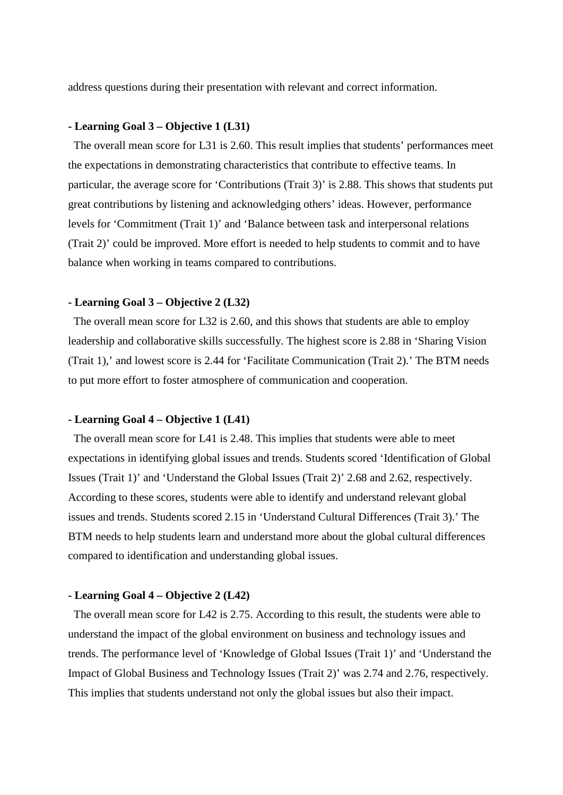address questions during their presentation with relevant and correct information.

#### **- Learning Goal 3 – Objective 1 (L31)**

The overall mean score for L31 is 2.60. This result implies that students' performances meet the expectations in demonstrating characteristics that contribute to effective teams. In particular, the average score for 'Contributions (Trait 3)' is 2.88. This shows that students put great contributions by listening and acknowledging others' ideas. However, performance levels for 'Commitment (Trait 1)' and 'Balance between task and interpersonal relations (Trait 2)' could be improved. More effort is needed to help students to commit and to have balance when working in teams compared to contributions.

#### **- Learning Goal 3 – Objective 2 (L32)**

The overall mean score for L32 is 2.60, and this shows that students are able to employ leadership and collaborative skills successfully. The highest score is 2.88 in 'Sharing Vision (Trait 1),' and lowest score is 2.44 for 'Facilitate Communication (Trait 2).' The BTM needs to put more effort to foster atmosphere of communication and cooperation.

#### **- Learning Goal 4 – Objective 1 (L41)**

The overall mean score for L41 is 2.48. This implies that students were able to meet expectations in identifying global issues and trends. Students scored 'Identification of Global Issues (Trait 1)' and 'Understand the Global Issues (Trait 2)' 2.68 and 2.62, respectively. According to these scores, students were able to identify and understand relevant global issues and trends. Students scored 2.15 in 'Understand Cultural Differences (Trait 3).' The BTM needs to help students learn and understand more about the global cultural differences compared to identification and understanding global issues.

#### **- Learning Goal 4 – Objective 2 (L42)**

The overall mean score for L42 is 2.75. According to this result, the students were able to understand the impact of the global environment on business and technology issues and trends. The performance level of 'Knowledge of Global Issues (Trait 1)' and 'Understand the Impact of Global Business and Technology Issues (Trait 2)' was 2.74 and 2.76, respectively. This implies that students understand not only the global issues but also their impact.